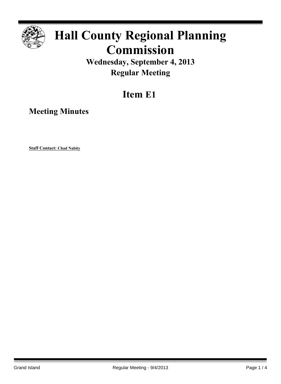

# **Hall County Regional Planning Commission**

### **Wednesday, September 4, 2013 Regular Meeting**

## **Item E1**

**Meeting Minutes**

**Staff Contact: Chad Nabity**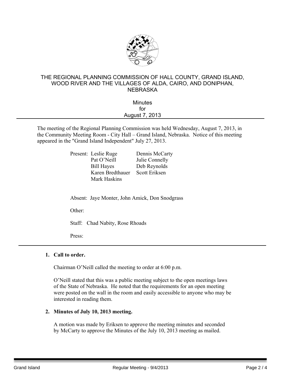

#### THE REGIONAL PLANNING COMMISSION OF HALL COUNTY, GRAND ISLAND, WOOD RIVER AND THE VILLAGES OF ALDA, CAIRO, AND DONIPHAN, **NEBRASKA**

| <b>Minutes</b> |  |
|----------------|--|
| for            |  |
| August 7, 2013 |  |
|                |  |

The meeting of the Regional Planning Commission was held Wednesday, August 7, 2013, in the Community Meeting Room - City Hall – Grand Island, Nebraska. Notice of this meeting appeared in the "Grand Island Independent" July 27, 2013.

| Present: Leslie Ruge             | Dennis McCarty |
|----------------------------------|----------------|
| Pat O'Neill                      | Julie Connelly |
| <b>Bill Hayes</b>                | Deb Reynolds   |
| Karen Bredthauer<br>Mark Haskins | Scott Eriksen  |
|                                  |                |

Absent: Jaye Monter, John Amick, Don Snodgrass

Other:

Staff: Chad Nabity, Rose Rhoads

Press:

#### **1. Call to order.**

Chairman O'Neill called the meeting to order at 6:00 p.m.

O'Neill stated that this was a public meeting subject to the open meetings laws of the State of Nebraska. He noted that the requirements for an open meeting were posted on the wall in the room and easily accessible to anyone who may be interested in reading them.

#### **2. Minutes of July 10, 2013 meeting.**

A motion was made by Eriksen to approve the meeting minutes and seconded by McCarty to approve the Minutes of the July 10, 2013 meeting as mailed.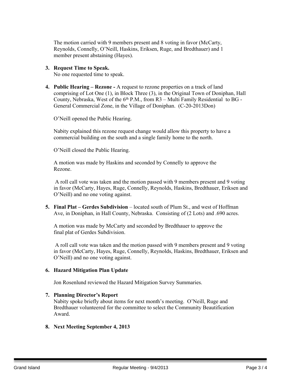The motion carried with 9 members present and 8 voting in favor (McCarty, Reynolds, Connelly, O'Neill, Haskins, Eriksen, Ruge, and Bredthauer) and 1 member present abstaining (Hayes).

#### **3. Request Time to Speak.**

No one requested time to speak.

**4. Public Hearing – Rezone -** A request to rezone properties on a track of land comprising of Lot One (1), in Block Three (3), in the Original Town of Doniphan, Hall County, Nebraska, West of the  $6<sup>th</sup>$  P.M., from R3 – Multi Family Residential to BG -General Commercial Zone, in the Village of Doniphan. (C-20-2013Don)

O'Neill opened the Public Hearing.

Nabity explained this rezone request change would allow this property to have a commercial building on the south and a single family home to the north.

O'Neill closed the Public Hearing.

A motion was made by Haskins and seconded by Connelly to approve the Rezone.

A roll call vote was taken and the motion passed with 9 members present and 9 voting in favor (McCarty, Hayes, Ruge, Connelly, Reynolds, Haskins, Bredthauer, Eriksen and O'Neill) and no one voting against.

**5. Final Plat – Gerdes Subdivision** – located south of Plum St., and west of Hoffman Ave, in Doniphan, in Hall County, Nebraska. Consisting of (2 Lots) and .690 acres.

A motion was made by McCarty and seconded by Bredthauer to approve the final plat of Gerdes Subdivision.

A roll call vote was taken and the motion passed with 9 members present and 9 voting in favor (McCarty, Hayes, Ruge, Connelly, Reynolds, Haskins, Bredthauer, Eriksen and O'Neill) and no one voting against.

#### **6. Hazard Mitigation Plan Update**

Jon Rosenlund reviewed the Hazard Mitigation Survey Summaries.

#### **7. Planning Director's Report**

Nabity spoke briefly about items for next month's meeting. O'Neill, Ruge and Bredthauer volunteered for the committee to select the Community Beautification Award.

#### **8. Next Meeting September 4, 2013**